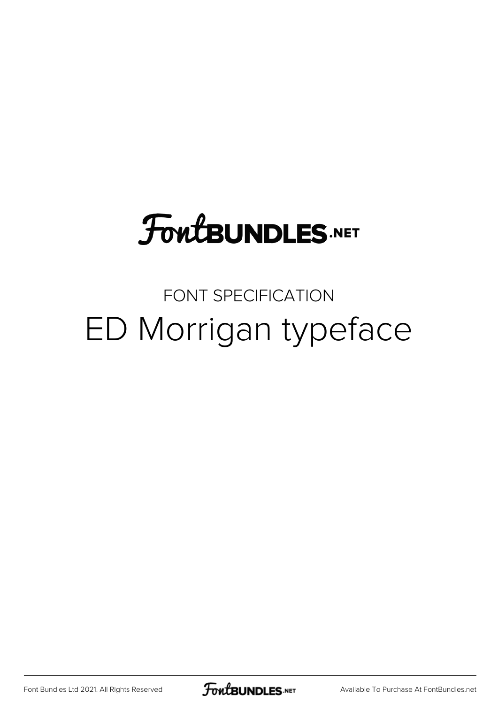# **FoutBUNDLES.NET**

#### FONT SPECIFICATION ED Morrigan typeface

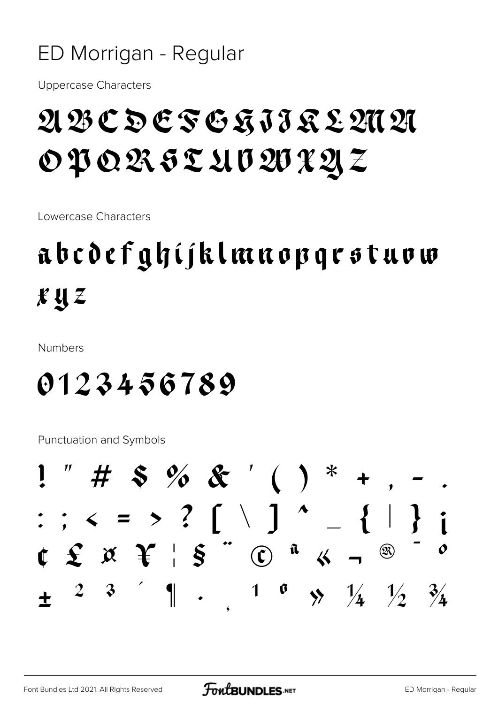#### ED Morrigan - Regular

Uppercase Characters

#### ABCDEFGHIJKLMN OPQRSTUVWXYZ

Lowercase Characters

### abcdefghijklmnopqrstuvw xyz

Numbers

#### 0123456789

Punctuation and Symbols

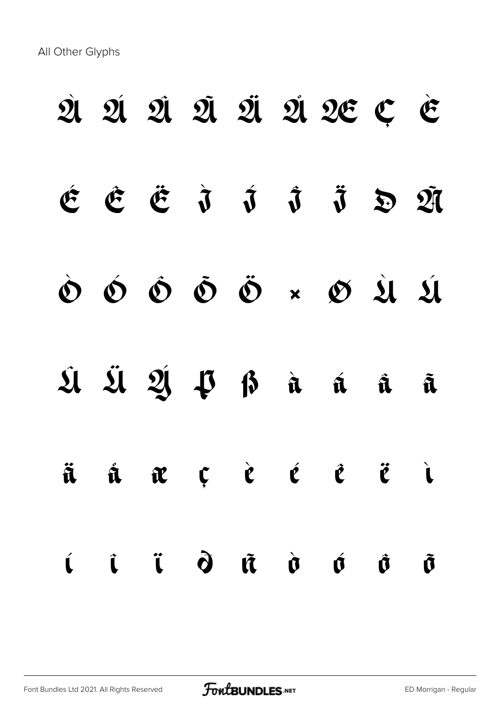All Other Glyphs

# À Á Â Ã Ä Å Æ Ç È  $\acute{e}$   $\acute{e}$   $\ddot{o}$   $\acute{j}$   $\ddot{o}$   $\ddot{o}$   $\ddot{21}$ Ò Ó Ô Õ Ö × Ø Ù Ú Û Ü Ý Þ ß à á â ã ä å æ ç è é ê ë ì í î ï ð ñ ò ó ô õ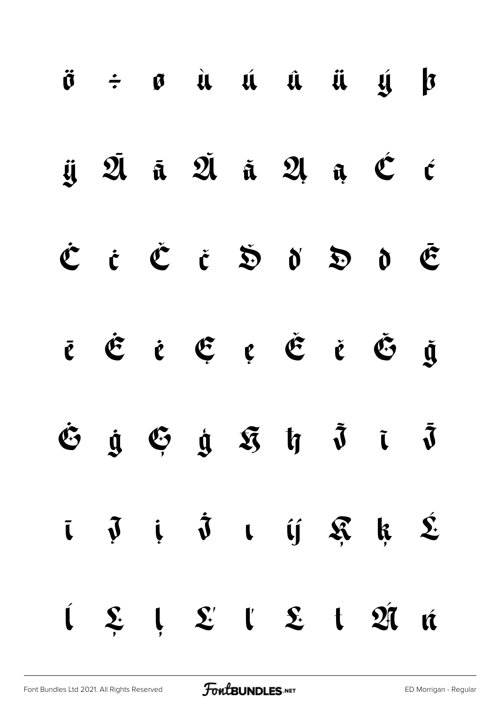|  |  |  | $\ddot{\sigma}$ $\div$ $\sigma$ à á á $\ddot{a}$ $\ddot{a}$ $\ddot{a}$ $\ddot{b}$                                        |  |
|--|--|--|--------------------------------------------------------------------------------------------------------------------------|--|
|  |  |  | ij $\bar{\mathfrak A}$ ā $\bar{\mathfrak A}$ ä $\mathfrak A$ a $\mathfrak C$ c                                           |  |
|  |  |  | ĊċČčŠďÐdĒ                                                                                                                |  |
|  |  |  | ē Ė ė Ę ę Ě ě Š ğ                                                                                                        |  |
|  |  |  | $\dot{v}$ $\dot{y}$ $\ddot{y}$ $\dot{y}$ $\ddot{y}$ $\ddot{y}$ $\ddot{y}$ $\ddot{y}$                                     |  |
|  |  |  | $\bar{\iota}$ $\bar{\jmath}$ $i$ $\dot{\bar{\jmath}}$ $\iota$ $\acute{\jmath}$ $\mathfrak{K}$ $k$ $\acute{\mathfrak{L}}$ |  |
|  |  |  | $\begin{array}{cccccccccccccc} i & \xi & j & \xi' & l & \xi & t & \mathfrak{A} & \mathfrak{m} \end{array}$               |  |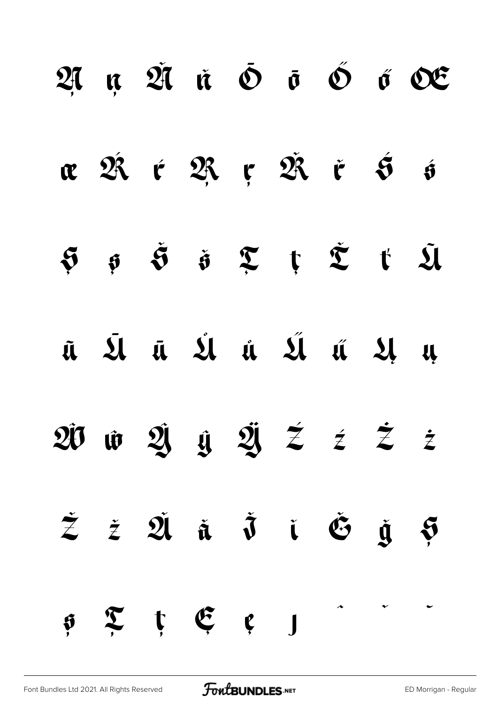|                |                  |         |  |                                                                                                                                                                                                                                                               | $27$ $\mu$ $27$ $\dot{\alpha}$ $\delta$ $\dot{\sigma}$ $\delta$ $\acute{\sigma}$ $25$ |
|----------------|------------------|---------|--|---------------------------------------------------------------------------------------------------------------------------------------------------------------------------------------------------------------------------------------------------------------|---------------------------------------------------------------------------------------|
|                |                  |         |  | <b>x</b> $\hat{\mathfrak{A}}$ $\epsilon$ $\hat{\mathfrak{R}}$ $\epsilon$ $\hat{\mathfrak{R}}$ $\epsilon$ $\hat{\mathfrak{S}}$ $\hat{\mathfrak{s}}$                                                                                                            |                                                                                       |
|                |                  |         |  | $\begin{array}{ccccccccc}\mathfrak{S} & \mathfrak{S} & \mathfrak{S} & \mathfrak{S} & \mathfrak{X} & \mathfrak{X} & \mathfrak{X} & \mathfrak{X}\end{array} \quad \begin{array}{ccccccccc}\mathfrak{S} & \mathfrak{S} & \mathfrak{S} & \mathfrak{U}\end{array}$ |                                                                                       |
|                |                  |         |  | ũ Ú Ú Ú Ú Ú Ú Ú Ú Ų                                                                                                                                                                                                                                           |                                                                                       |
|                |                  |         |  | $20$ $\hat{w}$ $2 \hat{y}$ $\hat{y}$ $\hat{z}$ $\hat{z}$ $\hat{z}$ $\hat{z}$                                                                                                                                                                                  |                                                                                       |
|                |                  |         |  | $\dot{z}$ $\dot{z}$ $\dot{\mathfrak{A}}$ $\dot{\mathfrak{a}}$ $\dot{\mathfrak{d}}$ $\dot{\mathfrak{c}}$ $\dot{\mathfrak{g}}$ $\dot{\mathfrak{g}}$                                                                                                             |                                                                                       |
| $\mathfrak{H}$ | $\sum_{i=1}^{n}$ | t E e J |  |                                                                                                                                                                                                                                                               |                                                                                       |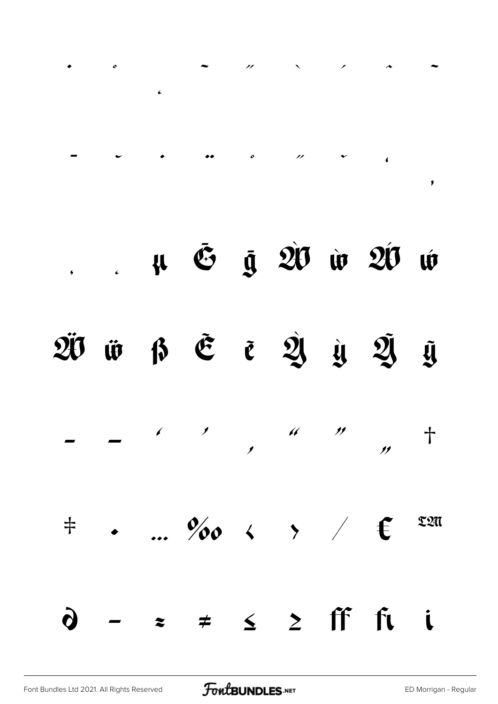